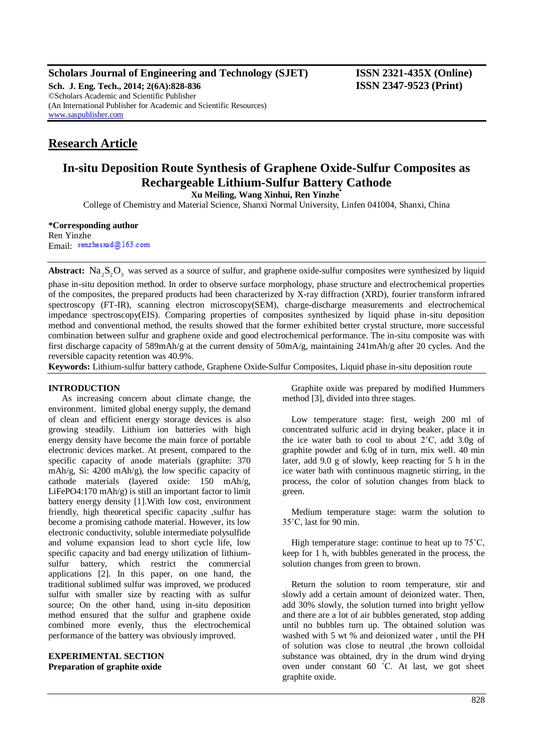# **Scholars Journal of Engineering and Technology (SJET) ISSN 2321-435X (Online)**

**Sch. J. Eng. Tech., 2014; 2(6A):828-836 ISSN 2347-9523 (Print)** ©Scholars Academic and Scientific Publisher (An International Publisher for Academic and Scientific Resources) [www.saspublisher.com](http://www.saspublisher.com/)

# **Research Article**

# **In-situ Deposition Route Synthesis of Graphene Oxide-Sulfur Composites as Rechargeable Lithium-Sulfur Battery Cathode**

**Xu Meiling, Wang Xinhui, Ren Yinzhe\***

College of Chemistry and Material Science, Shanxi Normal University, Linfen 041004, Shanxi, China

#### **\*Corresponding author**

Ren Yinzhe Email: renzhesxsd@163.com

Abstract:  $\text{Na}_2\text{S}_2\text{O}_3$  was served as a source of sulfur, and graphene oxide-sulfur composites were synthesized by liquid

phase in-situ deposition method. In order to observe surface morphology, phase structure and electrochemical properties of the composites, the prepared products had been characterized by X-ray diffraction (XRD), fourier transform infrared spectroscopy (FT-IR), scanning electron microscopy(SEM), charge-discharge measurements and electrochemical impedance spectroscopy(EIS). Comparing properties of composites synthesized by liquid phase in-situ deposition method and conventional method, the results showed that the former exhibited better crystal structure, more successful combination between sulfur and graphene oxide and good electrochemical performance. The in-situ composite was with first discharge capacity of 589mAh/g at the current density of 50mA/g, maintaining 241mAh/g after 20 cycles. And the reversible capacity retention was 40.9%.

**Keywords:** Lithium-sulfur battery cathode, Graphene Oxide-Sulfur Composites, Liquid phase in-situ deposition route

# **INTRODUCTION**

As increasing concern about climate change, the environment, limited global energy supply, the demand of clean and efficient energy storage devices is also growing steadily. Lithium ion batteries with high energy density have become the main force of portable electronic devices market. At present, compared to the specific capacity of anode materials (graphite: 370 mAh/g, Si: 4200 mAh/g), the low specific capacity of cathode materials (layered oxide: 150 mAh/g, LiFePO4:170 mAh/g) is still an important factor to limit battery energy density [1].With low cost, environment friendly, high theoretical specific capacity ,sulfur has become a promising cathode material. However, its low electronic conductivity, soluble intermediate polysulfide and volume expansion lead to short cycle life, low specific capacity and bad energy utilization of lithiumsulfur battery, which restrict the commercial applications [2]. In this paper, on one hand, the traditional sublimed sulfur was improved, we produced sulfur with smaller size by reacting with as sulfur source; On the other hand, using in-situ deposition method ensured that the sulfur and graphene oxide combined more evenly, thus the electrochemical performance of the battery was obviously improved.

#### **EXPERIMENTAL SECTION Preparation of graphite oxide**

Graphite oxide was prepared by modified Hummers method [3], divided into three stages.

Low temperature stage: first, weigh 200 ml of concentrated sulfuric acid in drying beaker, place it in the ice water bath to cool to about  $2^{\circ}$ C, add  $3.0g$  of graphite powder and 6.0g of in turn, mix well. 40 min later, add 9.0 g of slowly, keep reacting for 5 h in the ice water bath with continuous magnetic stirring, in the process, the color of solution changes from black to green.

Medium temperature stage: warm the solution to 35˚C, last for 90 min.

High temperature stage: continue to heat up to 75˚C, keep for 1 h, with bubbles generated in the process, the solution changes from green to brown.

Return the solution to room temperature, stir and slowly add a certain amount of deionized water. Then, add 30% slowly, the solution turned into bright yellow and there are a lot of air bubbles generated, stop adding until no bubbles turn up. The obtained solution was washed with 5 wt % and deionized water , until the PH of solution was close to neutral ,the brown colloidal substance was obtained, dry in the drum wind drying oven under constant 60 ˚C. At last, we got sheet graphite oxide.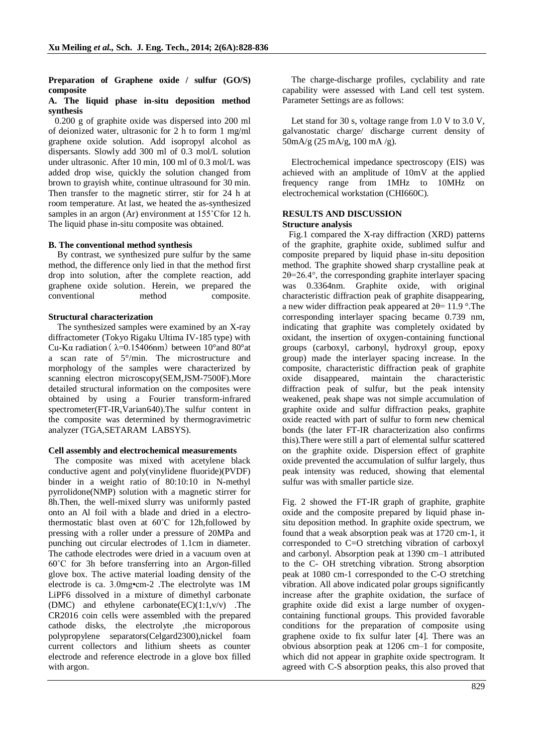# **Preparation of Graphene oxide / sulfur (GO/S) composite**

### **A. The liquid phase in-situ deposition method synthesis**

 0.200 g of graphite oxide was dispersed into 200 ml of deionized water, ultrasonic for 2 h to form 1 mg/ml graphene oxide solution. Add isopropyl alcohol as dispersants. Slowly add 300 ml of 0.3 mol/L solution under ultrasonic. After 10 min, 100 ml of 0.3 mol/L was added drop wise, quickly the solution changed from brown to grayish white, continue ultrasound for 30 min. Then transfer to the magnetic stirrer, stir for 24 h at room temperature. At last, we heated the as-synthesized samples in an argon (Ar) environment at 155˚Cfor 12 h. The liquid phase in-situ composite was obtained.

# **B. The conventional method synthesis**

By contrast, we synthesized pure sulfur by the same method, the difference only lied in that the method first drop into solution, after the complete reaction, add graphene oxide solution. Herein, we prepared the conventional method composite.

# **Structural characterization**

The synthesized samples were examined by an X-ray diffractometer (Tokyo Rigaku Ultima IV-185 type) with Cu-Kα radiation ( $λ=0.15406$ nm) between 10°and 80°at a scan rate of 5°/min. The microstructure and morphology of the samples were characterized by scanning electron microscopy(SEM,JSM-7500F).More detailed structural information on the composites were obtained by using a Fourier transform-infrared spectrometer(FT-IR,Varian640).The sulfur content in the composite was determined by thermogravimetric analyzer (TGA,SETARAM LABSYS).

# **Cell assembly and electrochemical measurements**

The composite was mixed with acetylene black conductive agent and poly(vinylidene fluoride)(PVDF) binder in a weight ratio of 80:10:10 in N-methyl pyrrolidone(NMP) solution with a magnetic stirrer for 8h.Then, the well-mixed slurry was uniformly pasted onto an Al foil with a blade and dried in a electrothermostatic blast oven at 60˚C for 12h,followed by pressing with a roller under a pressure of 20MPa and punching out circular electrodes of 1.1cm in diameter. The cathode electrodes were dried in a vacuum oven at 60˚C for 3h before transferring into an Argon-filled glove box. The active material loading density of the electrode is ca. 3.0mg•cm-2 .The electrolyte was 1M LiPF6 dissolved in a mixture of dimethyl carbonate (DMC) and ethylene carbonate $(EC)(1:1,v/v)$ . The CR2016 coin cells were assembled with the prepared cathode disks, the electrolyte ,the microporous polypropylene separators(Celgard2300),nickel foam current collectors and lithium sheets as counter electrode and reference electrode in a glove box filled with argon.

The charge-discharge profiles, cyclability and rate capability were assessed with Land cell test system. Parameter Settings are as follows:

Let stand for 30 s, voltage range from 1.0 V to 3.0 V, galvanostatic charge/ discharge current density of 50mA/g (25 mA/g, 100 mA /g).

Electrochemical impedance spectroscopy (EIS) was achieved with an amplitude of 10mV at the applied frequency range from 1MHz to 10MHz on electrochemical workstation (CHI660C).

### **RESULTS AND DISCUSSION Structure analysis**

 Fig.1 compared the X-ray diffraction (XRD) patterns of the graphite, graphite oxide, sublimed sulfur and composite prepared by liquid phase in-situ deposition method. The graphite showed sharp crystalline peak at 2θ=26.4°, the corresponding graphite interlayer spacing was 0.3364nm. Graphite oxide, with original characteristic diffraction peak of graphite disappearing, a new wider diffraction peak appeared at  $2\theta = 11.9$  °. The corresponding interlayer spacing became 0.739 nm, indicating that graphite was completely oxidated by oxidant, the insertion of oxygen-containing functional groups (carboxyl, carbonyl, hydroxyl group, epoxy group) made the interlayer spacing increase. In the composite, characteristic diffraction peak of graphite oxide disappeared, maintain the characteristic diffraction peak of sulfur, but the peak intensity weakened, peak shape was not simple accumulation of graphite oxide and sulfur diffraction peaks, graphite oxide reacted with part of sulfur to form new chemical bonds (the later FT-IR characterization also confirms this).There were still a part of elemental sulfur scattered on the graphite oxide. Dispersion effect of graphite oxide prevented the accumulation of sulfur largely, thus peak intensity was reduced, showing that elemental sulfur was with smaller particle size.

Fig. 2 showed the FT-IR graph of graphite, graphite oxide and the composite prepared by liquid phase insitu deposition method. In graphite oxide spectrum, we found that a weak absorption peak was at 1720 cm-1, it corresponded to C=O stretching vibration of carboxyl and carbonyl. Absorption peak at 1390 cm–1 attributed to the C- OH stretching vibration. Strong absorption peak at 1080 cm-1 corresponded to the C-O stretching vibration. All above indicated polar groups significantly increase after the graphite oxidation, the surface of graphite oxide did exist a large number of oxygencontaining functional groups. This provided favorable conditions for the preparation of composite using graphene oxide to fix sulfur later [4]. There was an obvious absorption peak at 1206 cm–1 for composite, which did not appear in graphite oxide spectrogram. It agreed with C-S absorption peaks, this also proved that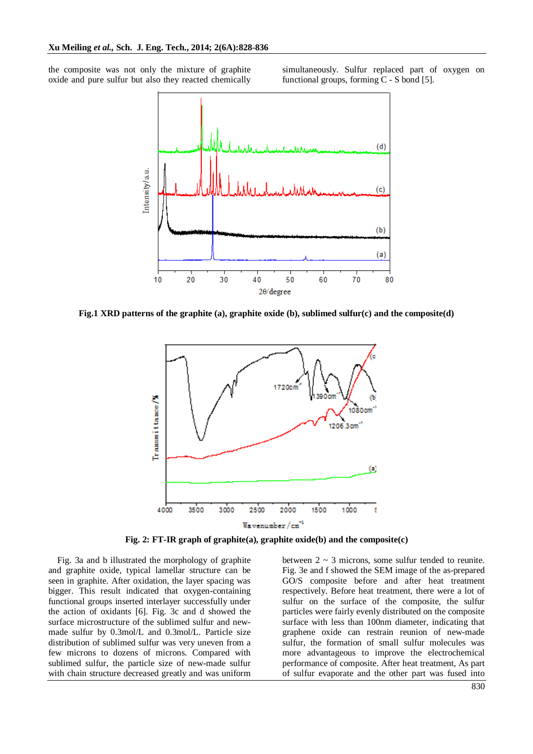the composite was not only the mixture of graphite oxide and pure sulfur but also they reacted chemically

simultaneously. Sulfur replaced part of oxygen on functional groups, forming C - S bond [5].



**Fig.1 XRD patterns of the graphite (a), graphite oxide (b), sublimed sulfur(c) and the composite(d)**



**Fig. 2: FT-IR graph of graphite(a), graphite oxide(b) and the composite(c)**

Fig. 3a and b illustrated the morphology of graphite and graphite oxide, typical lamellar structure can be seen in graphite. After oxidation, the layer spacing was bigger. This result indicated that oxygen-containing functional groups inserted interlayer successfully under the action of oxidants [6]. Fig. 3c and d showed the surface microstructure of the sublimed sulfur and newmade sulfur by 0.3mol/L and 0.3mol/L. Particle size distribution of sublimed sulfur was very uneven from a few microns to dozens of microns. Compared with sublimed sulfur, the particle size of new-made sulfur with chain structure decreased greatly and was uniform between  $2 \sim 3$  microns, some sulfur tended to reunite. Fig. 3e and f showed the SEM image of the as-prepared GO/S composite before and after heat treatment respectively. Before heat treatment, there were a lot of sulfur on the surface of the composite, the sulfur particles were fairly evenly distributed on the composite surface with less than 100nm diameter, indicating that graphene oxide can restrain reunion of new-made sulfur, the formation of small sulfur molecules was more advantageous to improve the electrochemical performance of composite. After heat treatment, As part of sulfur evaporate and the other part was fused into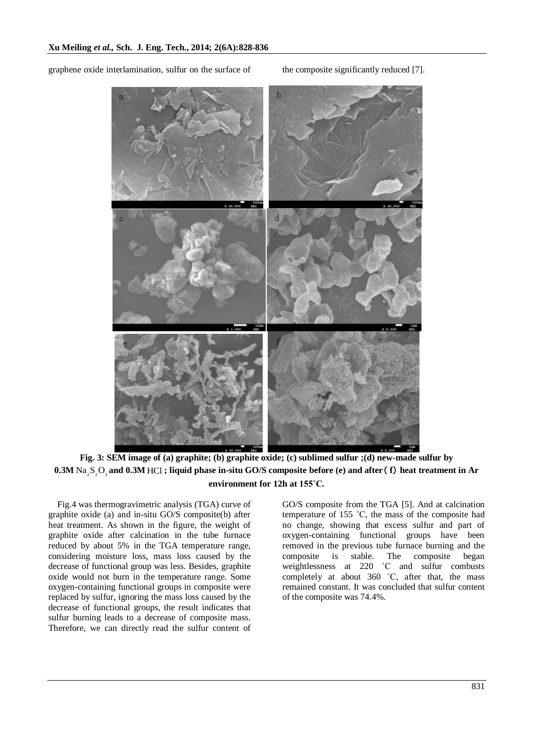graphene oxide interlamination, sulfur on the surface of the composite significantly reduced [7].



**Fig. 3: SEM image of (a) graphite; (b) graphite oxide; (c) sublimed sulfur ;(d) new-made sulfur by**  $0.3$ M Na  $_{2}$ S  $_{2}$ O  $_{3}$  and 0.3M HCl ; liquid phase in-situ GO/S composite before (e) and after (f) heat treatment in Ar **environment for 12h at 155˚C.**

Fig.4 was thermogravimetric analysis (TGA) curve of graphite oxide (a) and in-situ GO/S composite(b) after heat treatment. As shown in the figure, the weight of graphite oxide after calcination in the tube furnace reduced by about 5% in the TGA temperature range, considering moisture loss, mass loss caused by the decrease of functional group was less. Besides, graphite oxide would not burn in the temperature range. Some oxygen-containing functional groups in composite were replaced by sulfur, ignoring the mass loss caused by the decrease of functional groups, the result indicates that sulfur burning leads to a decrease of composite mass. Therefore, we can directly read the sulfur content of

GO/S composite from the TGA [5]. And at calcination temperature of 155 ˚C, the mass of the composite had no change, showing that excess sulfur and part of oxygen-containing functional groups have been removed in the previous tube furnace burning and the composite is stable. The composite began weightlessness at 220 ˚C and sulfur combusts completely at about 360 ˚C, after that, the mass remained constant. It was concluded that sulfur content of the composite was 74.4%.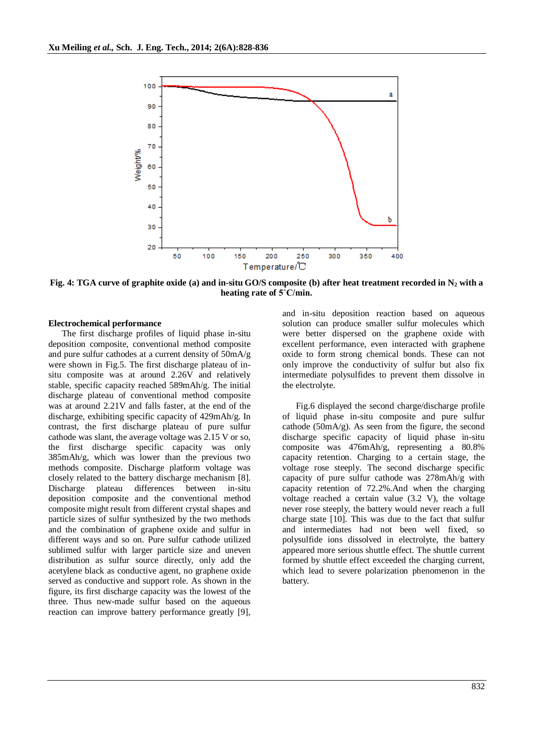

Fig. 4: TGA curve of graphite oxide (a) and in-situ GO/S composite (b) after heat treatment recorded in  $N_2$  with a **heating rate of 5˚C/min.**

#### **Electrochemical performance**

The first discharge profiles of liquid phase in-situ deposition composite, conventional method composite and pure sulfur cathodes at a current density of 50mA/g were shown in Fig.5. The first discharge plateau of insitu composite was at around 2.26V and relatively stable, specific capacity reached 589mAh/g. The initial discharge plateau of conventional method composite was at around 2.21V and falls faster, at the end of the discharge, exhibiting specific capacity of 429mAh/g. In contrast, the first discharge plateau of pure sulfur cathode was slant, the average voltage was 2.15 V or so, the first discharge specific capacity was only 385mAh/g, which was lower than the previous two methods composite. Discharge platform voltage was closely related to the battery discharge mechanism [8]. Discharge plateau differences between in-situ deposition composite and the conventional method composite might result from different crystal shapes and particle sizes of sulfur synthesized by the two methods and the combination of graphene oxide and sulfur in different ways and so on. Pure sulfur cathode utilized sublimed sulfur with larger particle size and uneven distribution as sulfur source directly, only add the acetylene black as conductive agent, no graphene oxide served as conductive and support role. As shown in the figure, its first discharge capacity was the lowest of the three. Thus new-made sulfur based on the aqueous reaction can improve battery performance greatly [9],

and in-situ deposition reaction based on aqueous solution can produce smaller sulfur molecules which were better dispersed on the graphene oxide with excellent performance, even interacted with graphene oxide to form strong chemical bonds. These can not only improve the conductivity of sulfur but also fix intermediate polysulfides to prevent them dissolve in the electrolyte.

Fig.6 displayed the second charge/discharge profile of liquid phase in-situ composite and pure sulfur cathode ( $50 \text{mA/g}$ ). As seen from the figure, the second discharge specific capacity of liquid phase in-situ composite was 476mAh/g, representing a 80.8% capacity retention. Charging to a certain stage, the voltage rose steeply. The second discharge specific capacity of pure sulfur cathode was 278mAh/g with capacity retention of 72.2%.And when the charging voltage reached a certain value (3.2 V), the voltage never rose steeply, the battery would never reach a full charge state [10]. This was due to the fact that sulfur and intermediates had not been well fixed, so polysulfide ions dissolved in electrolyte, the battery appeared more serious shuttle effect. The shuttle current formed by shuttle effect exceeded the charging current, which lead to severe polarization phenomenon in the battery.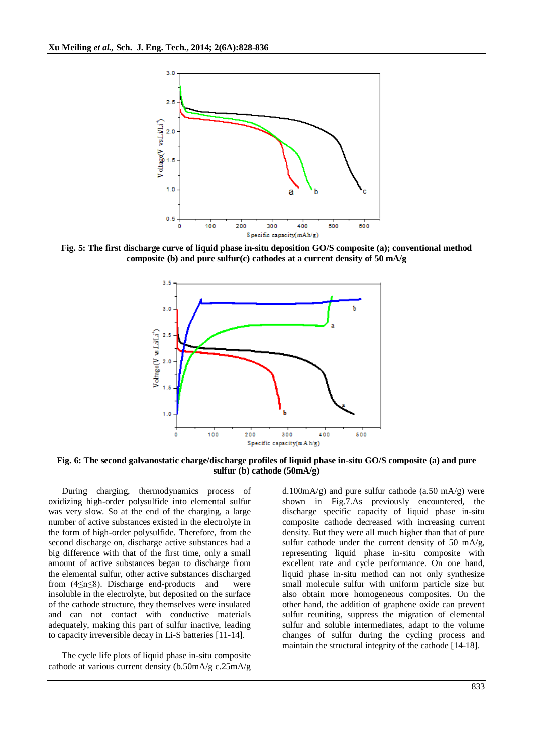

**Fig. 5: The first discharge curve of liquid phase in-situ deposition GO/S composite (a); conventional method composite (b) and pure sulfur(c) cathodes at a current density of 50 mA/g**



**Fig. 6: The second galvanostatic charge/discharge profiles of liquid phase in-situ GO/S composite (a) and pure sulfur (b) cathode (50mA/g)**

During charging, thermodynamics process of oxidizing high-order polysulfide into elemental sulfur was very slow. So at the end of the charging, a large number of active substances existed in the electrolyte in the form of high-order polysulfide. Therefore, from the second discharge on, discharge active substances had a big difference with that of the first time, only a small amount of active substances began to discharge from the elemental sulfur, other active substances discharged from (4≤n≤8). Discharge end-products and were insoluble in the electrolyte, but deposited on the surface of the cathode structure, they themselves were insulated and can not contact with conductive materials adequately, making this part of sulfur inactive, leading to capacity irreversible decay in Li-S batteries [11-14].

The cycle life plots of liquid phase in-situ composite cathode at various current density (b.50mA/g c.25mA/g

d.100mA/g) and pure sulfur cathode (a.50 mA/g) were shown in Fig.7.As previously encountered, the discharge specific capacity of liquid phase in-situ composite cathode decreased with increasing current density. But they were all much higher than that of pure sulfur cathode under the current density of 50 mA/g, representing liquid phase in-situ composite with excellent rate and cycle performance. On one hand, liquid phase in-situ method can not only synthesize small molecule sulfur with uniform particle size but also obtain more homogeneous composites. On the other hand, the addition of graphene oxide can prevent sulfur reuniting, suppress the migration of elemental sulfur and soluble intermediates, adapt to the volume changes of sulfur during the cycling process and maintain the structural integrity of the cathode [14-18].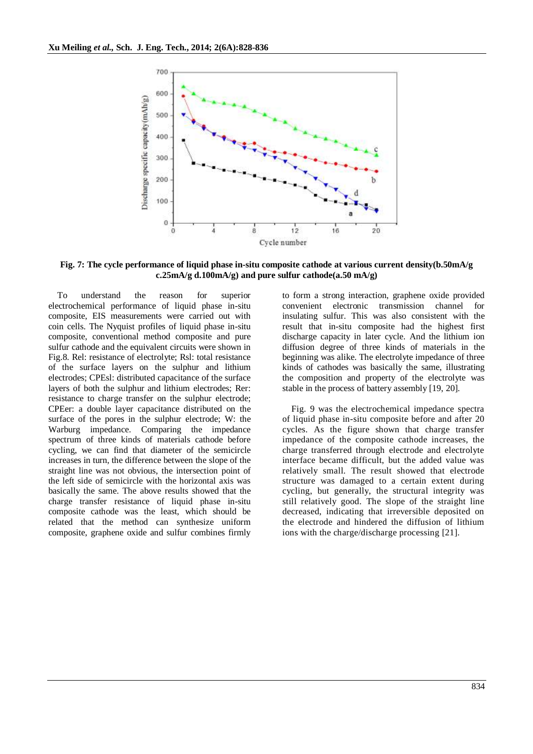

**Fig. 7: The cycle performance of liquid phase in-situ composite cathode at various current density(b.50mA/g c.25mA/g d.100mA/g) and pure sulfur cathode(a.50 mA/g)**

To understand the reason for superior electrochemical performance of liquid phase in-situ composite, EIS measurements were carried out with coin cells. The Nyquist profiles of liquid phase in-situ composite, conventional method composite and pure sulfur cathode and the equivalent circuits were shown in Fig.8. Rel: resistance of electrolyte; Rsl: total resistance of the surface layers on the sulphur and lithium electrodes; CPEsl: distributed capacitance of the surface layers of both the sulphur and lithium electrodes; Rer: resistance to charge transfer on the sulphur electrode; CPEer: a double layer capacitance distributed on the surface of the pores in the sulphur electrode; W: the Warburg impedance. Comparing the impedance spectrum of three kinds of materials cathode before cycling, we can find that diameter of the semicircle increases in turn, the difference between the slope of the straight line was not obvious, the intersection point of the left side of semicircle with the horizontal axis was basically the same. The above results showed that the charge transfer resistance of liquid phase in-situ composite cathode was the least, which should be related that the method can synthesize uniform composite, graphene oxide and sulfur combines firmly

to form a strong interaction, graphene oxide provided convenient electronic transmission channel for insulating sulfur. This was also consistent with the result that in-situ composite had the highest first discharge capacity in later cycle. And the lithium ion diffusion degree of three kinds of materials in the beginning was alike. The electrolyte impedance of three kinds of cathodes was basically the same, illustrating the composition and property of the electrolyte was stable in the process of battery assembly [19, 20].

Fig. 9 was the electrochemical impedance spectra of liquid phase in-situ composite before and after 20 cycles. As the figure shown that charge transfer impedance of the composite cathode increases, the charge transferred through electrode and electrolyte interface became difficult, but the added value was relatively small. The result showed that electrode structure was damaged to a certain extent during cycling, but generally, the structural integrity was still relatively good. The slope of the straight line decreased, indicating that irreversible deposited on the electrode and hindered the diffusion of lithium ions with the charge/discharge processing [21].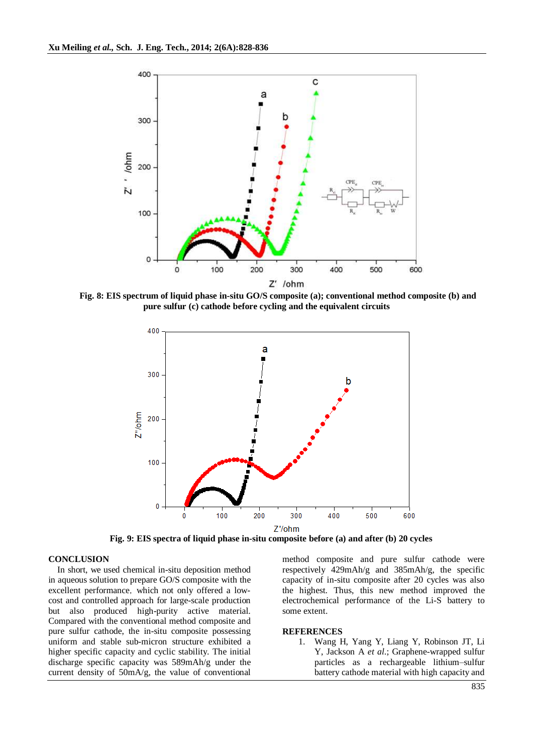

**Fig. 8: EIS spectrum of liquid phase in-situ GO/S composite (a); conventional method composite (b) and pure sulfur (c) cathode before cycling and the equivalent circuits**



**Fig. 9: EIS spectra of liquid phase in-situ composite before (a) and after (b) 20 cycles**

#### **CONCLUSION**

In short, we used chemical in-situ deposition method in aqueous solution to prepare GO/S composite with the excellent performance, which not only offered a lowcost and controlled approach for large-scale production but also produced high-purity active material. Compared with the conventional method composite and pure sulfur cathode, the in-situ composite possessing uniform and stable sub-micron structure exhibited a higher specific capacity and cyclic stability. The initial discharge specific capacity was 589mAh/g under the current density of 50mA/g, the value of conventional method composite and pure sulfur cathode were respectively 429mAh/g and 385mAh/g, the specific capacity of in-situ composite after 20 cycles was also the highest. Thus, this new method improved the electrochemical performance of the Li-S battery to some extent.

#### **REFERENCES**

1. Wang H, Yang Y, Liang Y, Robinson JT, Li Y, Jackson A *et al*.; Graphene-wrapped sulfur particles as a rechargeable lithium–sulfur battery cathode material with high capacity and